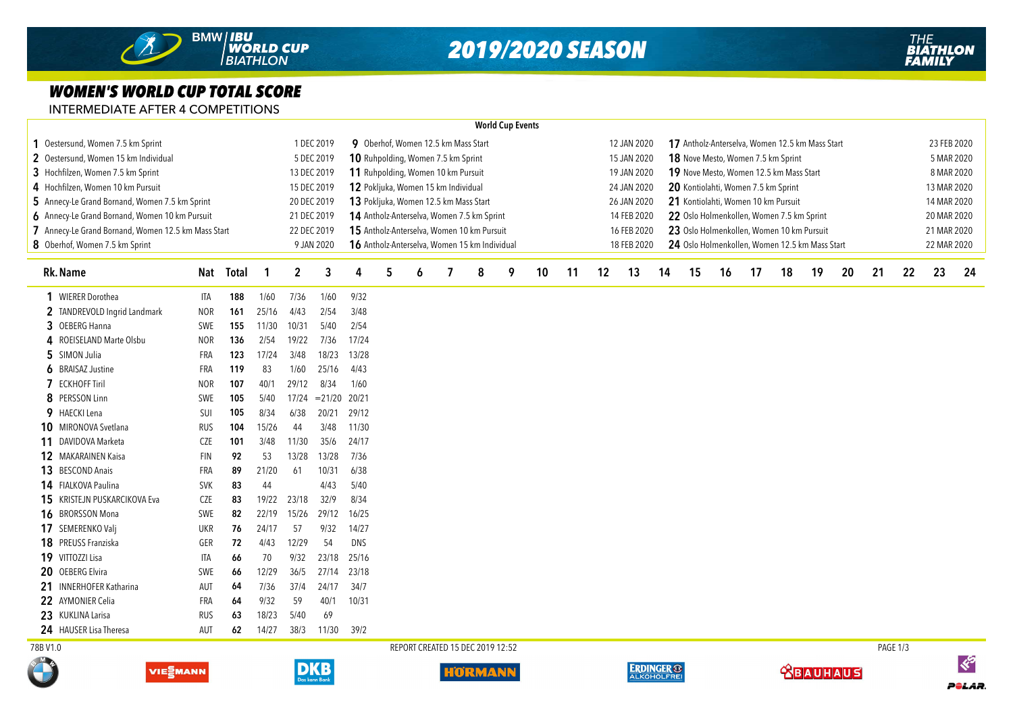## *2019/2020 SEASON*

## *WOMEN'S WORLD CUP TOTAL SCORE*

INTERMEDIATE AFTER 4 COMPETITIONS

|                                                     |                                                   |             |                                                                                              |                                     |                                                           |                                                                                         |                                       |                                               |   |                                  | <b>World Cup Events</b> |                                                                |                                                          |                                     |                                                    |    |            |             |            |    |    |    |             |             |             |     |  |  |  |
|-----------------------------------------------------|---------------------------------------------------|-------------|----------------------------------------------------------------------------------------------|-------------------------------------|-----------------------------------------------------------|-----------------------------------------------------------------------------------------|---------------------------------------|-----------------------------------------------|---|----------------------------------|-------------------------|----------------------------------------------------------------|----------------------------------------------------------|-------------------------------------|----------------------------------------------------|----|------------|-------------|------------|----|----|----|-------------|-------------|-------------|-----|--|--|--|
| Oestersund, Women 7.5 km Sprint                     | 1 DEC 2019<br>9 Oberhof, Women 12.5 km Mass Start |             |                                                                                              |                                     |                                                           |                                                                                         |                                       |                                               |   |                                  |                         | 12 JAN 2020<br>17 Antholz-Anterselva, Women 12.5 km Mass Start |                                                          |                                     |                                                    |    |            |             |            |    |    |    |             | 23 FEB 2020 |             |     |  |  |  |
| 2 Oestersund, Women 15 km Individual                |                                                   |             |                                                                                              |                                     | 5 DEC 2019                                                | 10 Ruhpolding, Women 7.5 km Sprint<br>18 Nove Mesto, Women 7.5 km Sprint<br>15 JAN 2020 |                                       |                                               |   |                                  |                         |                                                                |                                                          |                                     |                                                    |    |            |             | 5 MAR 2020 |    |    |    |             |             |             |     |  |  |  |
| 3 Hochfilzen, Women 7.5 km Sprint                   |                                                   | 13 DEC 2019 | 11 Ruhpolding, Women 10 km Pursuit<br>19 JAN 2020<br>19 Nove Mesto, Women 12.5 km Mass Start |                                     |                                                           |                                                                                         |                                       |                                               |   |                                  |                         |                                                                |                                                          |                                     |                                                    |    | 8 MAR 2020 |             |            |    |    |    |             |             |             |     |  |  |  |
| 4 Hochfilzen, Women 10 km Pursuit                   |                                                   | 15 DEC 2019 |                                                                                              | 12 Pokljuka, Women 15 km Individual |                                                           |                                                                                         |                                       |                                               |   |                                  |                         | 24 JAN 2020                                                    |                                                          | 20 Kontiolahti, Women 7.5 km Sprint |                                                    |    |            | 13 MAR 2020 |            |    |    |    |             |             |             |     |  |  |  |
| 5 Annecy-Le Grand Bornand, Women 7.5 km Sprint      |                                                   |             |                                                                                              |                                     | 20 DEC 2019                                               |                                                                                         | 13 Pokljuka, Women 12.5 km Mass Start |                                               |   |                                  |                         |                                                                |                                                          |                                     | 21 Kontiolahti, Women 10 km Pursuit<br>26 JAN 2020 |    |            |             |            |    |    |    |             |             | 14 MAR 2020 |     |  |  |  |
| 6 Annecy-Le Grand Bornand, Women 10 km Pursuit      |                                                   |             | 21 DEC 2019                                                                                  |                                     |                                                           | 14 Antholz-Anterselva, Women 7.5 km Sprint                                              |                                       |                                               |   |                                  |                         |                                                                | 22 Oslo Holmenkollen, Women 7.5 km Sprint<br>14 FEB 2020 |                                     |                                                    |    |            |             |            |    |    |    | 20 MAR 2020 |             |             |     |  |  |  |
| 7 Annecy-Le Grand Bornand, Women 12.5 km Mass Start |                                                   |             |                                                                                              |                                     | 15 Antholz-Anterselva, Women 10 km Pursuit<br>22 DEC 2019 |                                                                                         |                                       |                                               |   |                                  |                         |                                                                | 23 Oslo Holmenkollen, Women 10 km Pursuit<br>16 FEB 2020 |                                     |                                                    |    |            |             |            |    |    |    |             |             | 21 MAR 2020 |     |  |  |  |
| 8 Oberhof, Women 7.5 km Sprint                      |                                                   |             | 9 JAN 2020                                                                                   |                                     |                                                           |                                                                                         |                                       | 16 Antholz-Anterselva, Women 15 km Individual |   |                                  |                         |                                                                | 18 FEB 2020                                              |                                     | 24 Oslo Holmenkollen, Women 12.5 km Mass Start     |    |            |             |            |    |    |    | 22 MAR 2020 |             |             |     |  |  |  |
|                                                     |                                                   |             |                                                                                              |                                     |                                                           |                                                                                         |                                       |                                               |   |                                  |                         |                                                                |                                                          |                                     |                                                    |    |            |             |            |    |    |    |             |             |             |     |  |  |  |
| <b>Rk. Name</b>                                     |                                                   | Nat Total   | -1                                                                                           | $\boldsymbol{2}$                    | 3                                                         | 4                                                                                       | 5                                     | 6                                             | 7 | 8                                | 9                       | 10                                                             | 11                                                       | 12                                  | 13                                                 | 14 | 15         | 16          | 17         | 18 | 19 | 20 | 21          | 22          | 23          | -24 |  |  |  |
| 1 WIERER Dorothea                                   | ITA                                               | 188         | 1/60                                                                                         | 7/36                                | 1/60                                                      | 9/32                                                                                    |                                       |                                               |   |                                  |                         |                                                                |                                                          |                                     |                                                    |    |            |             |            |    |    |    |             |             |             |     |  |  |  |
| 2 TANDREVOLD Ingrid Landmark                        | NOR                                               | 161         | 25/16                                                                                        | 4/43                                | 2/54                                                      | 3/48                                                                                    |                                       |                                               |   |                                  |                         |                                                                |                                                          |                                     |                                                    |    |            |             |            |    |    |    |             |             |             |     |  |  |  |
| 3 OEBERG Hanna                                      | SWE                                               | 155         | 11/30                                                                                        | 10/31                               | 5/40                                                      | 2/54                                                                                    |                                       |                                               |   |                                  |                         |                                                                |                                                          |                                     |                                                    |    |            |             |            |    |    |    |             |             |             |     |  |  |  |
| 4 ROEISELAND Marte Olsbu                            | <b>NOR</b>                                        | 136         | 2/54                                                                                         | 19/22                               | 7/36                                                      | 17/24                                                                                   |                                       |                                               |   |                                  |                         |                                                                |                                                          |                                     |                                                    |    |            |             |            |    |    |    |             |             |             |     |  |  |  |
| 5 SIMON Julia                                       | FRA                                               | 123         | 17/24                                                                                        | 3/48                                | 18/23                                                     | 13/28                                                                                   |                                       |                                               |   |                                  |                         |                                                                |                                                          |                                     |                                                    |    |            |             |            |    |    |    |             |             |             |     |  |  |  |
| <b>6</b> BRAISAZ Justine                            | FRA                                               | 119         | 83                                                                                           | 1/60                                | 25/16                                                     | 4/43                                                                                    |                                       |                                               |   |                                  |                         |                                                                |                                                          |                                     |                                                    |    |            |             |            |    |    |    |             |             |             |     |  |  |  |
| <b>7</b> ECKHOFF Tiril                              | <b>NOR</b>                                        | 107         | 40/1                                                                                         | 29/12                               | 8/34                                                      | 1/60                                                                                    |                                       |                                               |   |                                  |                         |                                                                |                                                          |                                     |                                                    |    |            |             |            |    |    |    |             |             |             |     |  |  |  |
| 8 PERSSON Linn                                      | SWE                                               | 105         | 5/40                                                                                         | 17/24                               | $= 21/20$                                                 | 20/21                                                                                   |                                       |                                               |   |                                  |                         |                                                                |                                                          |                                     |                                                    |    |            |             |            |    |    |    |             |             |             |     |  |  |  |
| 9 HAECKI Lena                                       | <b>SUI</b>                                        | 105         | 8/34                                                                                         | 6/38                                | 20/21                                                     | 29/12                                                                                   |                                       |                                               |   |                                  |                         |                                                                |                                                          |                                     |                                                    |    |            |             |            |    |    |    |             |             |             |     |  |  |  |
| 10 MIRONOVA Svetlana                                | <b>RUS</b>                                        | 104         | 15/26                                                                                        | 44                                  | 3/48                                                      | 11/30                                                                                   |                                       |                                               |   |                                  |                         |                                                                |                                                          |                                     |                                                    |    |            |             |            |    |    |    |             |             |             |     |  |  |  |
| 11 DAVIDOVA Marketa                                 | CZE                                               | 101         | 3/48                                                                                         | 11/30                               | 35/6                                                      | 24/17                                                                                   |                                       |                                               |   |                                  |                         |                                                                |                                                          |                                     |                                                    |    |            |             |            |    |    |    |             |             |             |     |  |  |  |
| <b>12 MAKARAINEN Kaisa</b>                          | <b>FIN</b>                                        | 92          | 53                                                                                           | 13/28                               | 13/28                                                     | 7/36                                                                                    |                                       |                                               |   |                                  |                         |                                                                |                                                          |                                     |                                                    |    |            |             |            |    |    |    |             |             |             |     |  |  |  |
| 13 BESCOND Anais                                    | FRA                                               | 89          | 21/20                                                                                        | 61                                  | 10/31                                                     | 6/38                                                                                    |                                       |                                               |   |                                  |                         |                                                                |                                                          |                                     |                                                    |    |            |             |            |    |    |    |             |             |             |     |  |  |  |
| 14 FIALKOVA Paulina                                 | <b>SVK</b>                                        | 83          | 44                                                                                           |                                     | 4/43                                                      | 5/40                                                                                    |                                       |                                               |   |                                  |                         |                                                                |                                                          |                                     |                                                    |    |            |             |            |    |    |    |             |             |             |     |  |  |  |
| 15 KRISTEJN PUSKARCIKOVA Eva                        | <b>CZE</b>                                        | 83          | 19/22                                                                                        | 23/18                               | 32/9                                                      | 8/34                                                                                    |                                       |                                               |   |                                  |                         |                                                                |                                                          |                                     |                                                    |    |            |             |            |    |    |    |             |             |             |     |  |  |  |
| 16 BRORSSON Mona                                    | SWE                                               | 82          | 22/19                                                                                        | 15/26                               | 29/12                                                     | 16/25                                                                                   |                                       |                                               |   |                                  |                         |                                                                |                                                          |                                     |                                                    |    |            |             |            |    |    |    |             |             |             |     |  |  |  |
| 17 SEMERENKO Valj                                   | UKR                                               | 76          | 24/17                                                                                        | 57                                  | 9/32                                                      | 14/27                                                                                   |                                       |                                               |   |                                  |                         |                                                                |                                                          |                                     |                                                    |    |            |             |            |    |    |    |             |             |             |     |  |  |  |
| 18 PREUSS Franziska                                 | GER                                               | 72          | 4/43                                                                                         | 12/29                               | 54                                                        | <b>DNS</b>                                                                              |                                       |                                               |   |                                  |                         |                                                                |                                                          |                                     |                                                    |    |            |             |            |    |    |    |             |             |             |     |  |  |  |
| 19 VITTOZZI Lisa                                    | ITA                                               | 66          | 70                                                                                           | 9/32                                | 23/18                                                     | 25/16                                                                                   |                                       |                                               |   |                                  |                         |                                                                |                                                          |                                     |                                                    |    |            |             |            |    |    |    |             |             |             |     |  |  |  |
| 20<br><b>OEBERG Elvira</b>                          | <b>SWE</b>                                        | 66          | 12/29                                                                                        | 36/5                                | 27/14                                                     | 23/18                                                                                   |                                       |                                               |   |                                  |                         |                                                                |                                                          |                                     |                                                    |    |            |             |            |    |    |    |             |             |             |     |  |  |  |
| 21<br><b>INNERHOFER Katharina</b>                   | AUT                                               | 64          | 7/36                                                                                         | 37/4                                | 24/17                                                     | 34/7                                                                                    |                                       |                                               |   |                                  |                         |                                                                |                                                          |                                     |                                                    |    |            |             |            |    |    |    |             |             |             |     |  |  |  |
| 22 AYMONIER Celia                                   | FRA                                               | 64          | 9/32                                                                                         | 59                                  | 40/1                                                      | 10/31                                                                                   |                                       |                                               |   |                                  |                         |                                                                |                                                          |                                     |                                                    |    |            |             |            |    |    |    |             |             |             |     |  |  |  |
| 23 KUKLINA Larisa                                   | RUS                                               | 63          | 18/23                                                                                        | 5/40                                | 69                                                        |                                                                                         |                                       |                                               |   |                                  |                         |                                                                |                                                          |                                     |                                                    |    |            |             |            |    |    |    |             |             |             |     |  |  |  |
| 24 HAUSER Lisa Theresa                              | aut                                               | 62          | 14/27                                                                                        | 38/3                                | 11/30                                                     | 39/2                                                                                    |                                       |                                               |   |                                  |                         |                                                                |                                                          |                                     |                                                    |    |            |             |            |    |    |    |             |             |             |     |  |  |  |
| 78B V1.0                                            |                                                   |             |                                                                                              |                                     |                                                           |                                                                                         |                                       |                                               |   | REPORT CREATED 15 DEC 2019 12:52 |                         |                                                                |                                                          |                                     |                                                    |    |            |             |            |    |    |    |             | PAGE 1/3    |             |     |  |  |  |











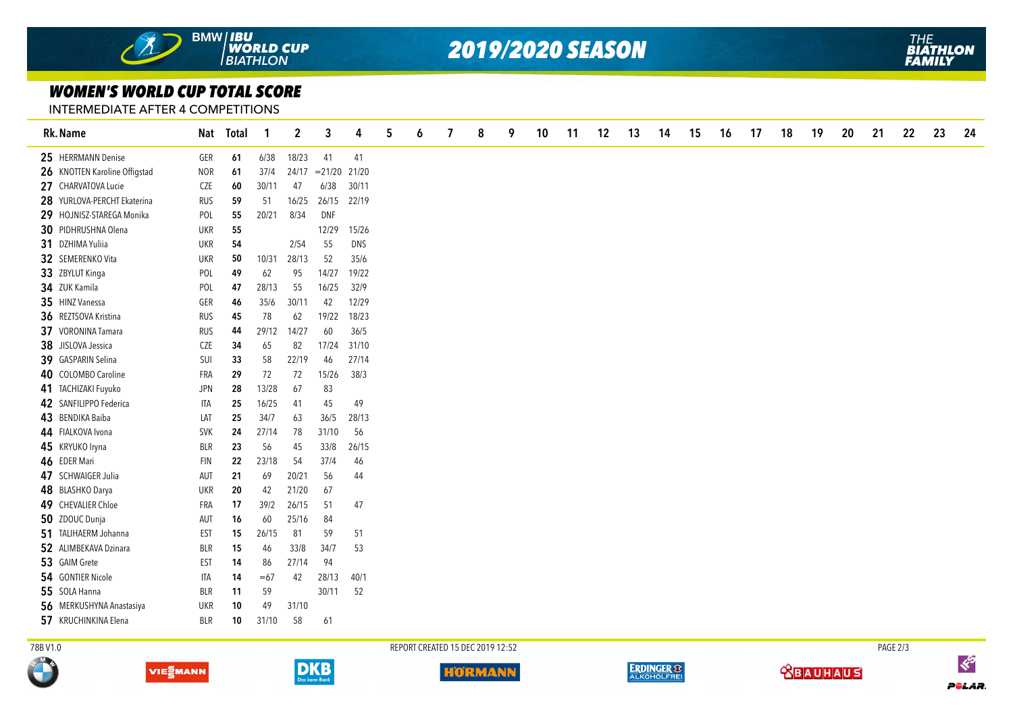

*2019/2020 SEASON*

## *WOMEN'S WORLD CUP TOTAL SCORE*

INTERMEDIATE AFTER 4 COMPETITIONS

| Rk. Name                      |            | Nat Total | -1    | $\boldsymbol{2}$ | 3         | 4          | 5 | 6 | 7 | 8 | 9 | 10 | 11 | 12 | 13 | 14 | 15 | 16 | 17 | 18 | 19 | 20 | 21 | 22 | 23 | 24 |
|-------------------------------|------------|-----------|-------|------------------|-----------|------------|---|---|---|---|---|----|----|----|----|----|----|----|----|----|----|----|----|----|----|----|
| 25 HERRMANN Denise            | GER        | 61        | 6/38  | 18/23            | 41        | 41         |   |   |   |   |   |    |    |    |    |    |    |    |    |    |    |    |    |    |    |    |
| 26 KNOTTEN Karoline Offigstad | <b>NOR</b> | 61        | 37/4  | 24/17            | $= 21/20$ | 21/20      |   |   |   |   |   |    |    |    |    |    |    |    |    |    |    |    |    |    |    |    |
| 27 CHARVATOVA Lucie           | CZE        | 60        | 30/11 | 47               | 6/38      | 30/11      |   |   |   |   |   |    |    |    |    |    |    |    |    |    |    |    |    |    |    |    |
| 28 YURLOVA-PERCHT Ekaterina   | <b>RUS</b> | 59        | 51    | 16/25            | 26/15     | 22/19      |   |   |   |   |   |    |    |    |    |    |    |    |    |    |    |    |    |    |    |    |
| 29 HOJNISZ-STAREGA Monika     | POL        | 55        | 20/21 | 8/34             | DNF       |            |   |   |   |   |   |    |    |    |    |    |    |    |    |    |    |    |    |    |    |    |
| 30 PIDHRUSHNA Olena           | <b>UKR</b> | 55        |       |                  | 12/29     | 15/26      |   |   |   |   |   |    |    |    |    |    |    |    |    |    |    |    |    |    |    |    |
| 31 DZHIMA Yuliia              | <b>UKR</b> | 54        |       | 2/54             | 55        | <b>DNS</b> |   |   |   |   |   |    |    |    |    |    |    |    |    |    |    |    |    |    |    |    |
| 32 SEMERENKO Vita             | <b>UKR</b> | 50        | 10/31 | 28/13            | 52        | 35/6       |   |   |   |   |   |    |    |    |    |    |    |    |    |    |    |    |    |    |    |    |
| 33 ZBYLUT Kinga               | POL        | 49        | 62    | 95               | 14/27     | 19/22      |   |   |   |   |   |    |    |    |    |    |    |    |    |    |    |    |    |    |    |    |
| 34 ZUK Kamila                 | POL        | 47        | 28/13 | 55               | 16/25     | 32/9       |   |   |   |   |   |    |    |    |    |    |    |    |    |    |    |    |    |    |    |    |
| 35 HINZ Vanessa               | GER        | 46        | 35/6  | 30/11            | 42        | 12/29      |   |   |   |   |   |    |    |    |    |    |    |    |    |    |    |    |    |    |    |    |
| 36 REZTSOVA Kristina          | <b>RUS</b> | 45        | 78    | 62               | 19/22     | 18/23      |   |   |   |   |   |    |    |    |    |    |    |    |    |    |    |    |    |    |    |    |
| 37 VORONINA Tamara            | <b>RUS</b> | 44        | 29/12 | 14/27            | 60        | 36/5       |   |   |   |   |   |    |    |    |    |    |    |    |    |    |    |    |    |    |    |    |
| 38 JISLOVA Jessica            | CZE        | 34        | 65    | 82               | 17/24     | 31/10      |   |   |   |   |   |    |    |    |    |    |    |    |    |    |    |    |    |    |    |    |
| 39 GASPARIN Selina            | SUI        | 33        | 58    | 22/19            | 46        | 27/14      |   |   |   |   |   |    |    |    |    |    |    |    |    |    |    |    |    |    |    |    |
| 40 COLOMBO Caroline           | FRA        | 29        | 72    | 72               | 15/26     | 38/3       |   |   |   |   |   |    |    |    |    |    |    |    |    |    |    |    |    |    |    |    |
| 41 TACHIZAKI Fuyuko           | <b>JPN</b> | 28        | 13/28 | 67               | 83        |            |   |   |   |   |   |    |    |    |    |    |    |    |    |    |    |    |    |    |    |    |
| 42 SANFILIPPO Federica        | ITA        | 25        | 16/25 | 41               | 45        | 49         |   |   |   |   |   |    |    |    |    |    |    |    |    |    |    |    |    |    |    |    |
| 43 BENDIKA Baiba              | LAT        | 25        | 34/7  | 63               | 36/5      | 28/13      |   |   |   |   |   |    |    |    |    |    |    |    |    |    |    |    |    |    |    |    |
| 44 FIALKOVA Ivona             | <b>SVK</b> | 24        | 27/14 | 78               | 31/10     | 56         |   |   |   |   |   |    |    |    |    |    |    |    |    |    |    |    |    |    |    |    |
| 45 KRYUKO Iryna               | <b>BLR</b> | 23        | 56    | 45               | 33/8      | 26/15      |   |   |   |   |   |    |    |    |    |    |    |    |    |    |    |    |    |    |    |    |
| 46 EDER Mari                  | <b>FIN</b> | 22        | 23/18 | 54               | 37/4      | 46         |   |   |   |   |   |    |    |    |    |    |    |    |    |    |    |    |    |    |    |    |
| 47 SCHWAIGER Julia            | AUT        | 21        | 69    | 20/21            | 56        | 44         |   |   |   |   |   |    |    |    |    |    |    |    |    |    |    |    |    |    |    |    |
| 48 BLASHKO Darya              | <b>UKR</b> | 20        | 42    | 21/20            | 67        |            |   |   |   |   |   |    |    |    |    |    |    |    |    |    |    |    |    |    |    |    |
| 49 CHEVALIER Chloe            | FRA        | 17        | 39/2  | 26/15            | 51        | 47         |   |   |   |   |   |    |    |    |    |    |    |    |    |    |    |    |    |    |    |    |
| 50 ZDOUC Dunja                | AUT        | 16        | 60    | 25/16            | 84        |            |   |   |   |   |   |    |    |    |    |    |    |    |    |    |    |    |    |    |    |    |
| 51 TALIHAERM Johanna          | EST        | 15        | 26/15 | 81               | 59        | 51         |   |   |   |   |   |    |    |    |    |    |    |    |    |    |    |    |    |    |    |    |
| 52 ALIMBEKAVA Dzinara         | BLR        | 15        | 46    | 33/8             | 34/7      | 53         |   |   |   |   |   |    |    |    |    |    |    |    |    |    |    |    |    |    |    |    |
| 53 GAIM Grete                 | EST        | 14        | 86    | 27/14            | 94        |            |   |   |   |   |   |    |    |    |    |    |    |    |    |    |    |    |    |    |    |    |
| 54 GONTIER Nicole             | <b>ITA</b> | 14        | $=67$ | 42               | 28/13     | 40/1       |   |   |   |   |   |    |    |    |    |    |    |    |    |    |    |    |    |    |    |    |
| 55 SOLA Hanna                 | BLR        | 11        | 59    |                  | 30/11     | 52         |   |   |   |   |   |    |    |    |    |    |    |    |    |    |    |    |    |    |    |    |
| 56 MERKUSHYNA Anastasiya      | <b>UKR</b> | 10        | 49    | 31/10            |           |            |   |   |   |   |   |    |    |    |    |    |    |    |    |    |    |    |    |    |    |    |
| 57 KRUCHINKINA Elena          | BLR        | 10        | 31/10 | 58               | 61        |            |   |   |   |   |   |    |    |    |    |    |    |    |    |    |    |    |    |    |    |    |